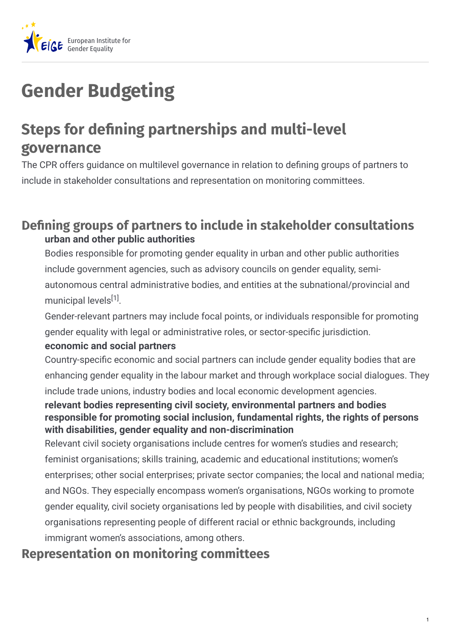

# **Gender Budgeting**

## **Steps for dening partnerships and multi-level governance**

The CPR offers guidance on multilevel governance in relation to defining groups of partners to include in stakeholder consultations and representation on monitoring committees.

### **Dening groups of partners to include in stakeholder consultations urban and other public authorities**

Bodies responsible for promoting gender equality in urban and other public authorities include government agencies, such as advisory councils on gender equality, semiautonomous central administrative bodies, and entities at the subnational/provincial and municipal levels<sup>[1]</sup>.

Gender-relevant partners may include focal points, or individuals responsible for promoting gender equality with legal or administrative roles, or sector-specific jurisdiction.

#### **economic and social partners**

Country-specific economic and social partners can include gender equality bodies that are enhancing gender equality in the labour market and through workplace social dialogues. They include trade unions, industry bodies and local economic development agencies.

#### **relevant bodies representing civil society, environmental partners and bodies responsible for promoting social inclusion, fundamental rights, the rights of persons with disabilities, gender equality and non-discrimination**

Relevant civil society organisations include centres for women's studies and research; feminist organisations; skills training, academic and educational institutions; women's enterprises; other social enterprises; private sector companies; the local and national media; and NGOs. They especially encompass women's organisations, NGOs working to promote gender equality, civil society organisations led by people with disabilities, and civil society organisations representing people of different racial or ethnic backgrounds, including immigrant women's associations, among others.

## **Representation on monitoring committees**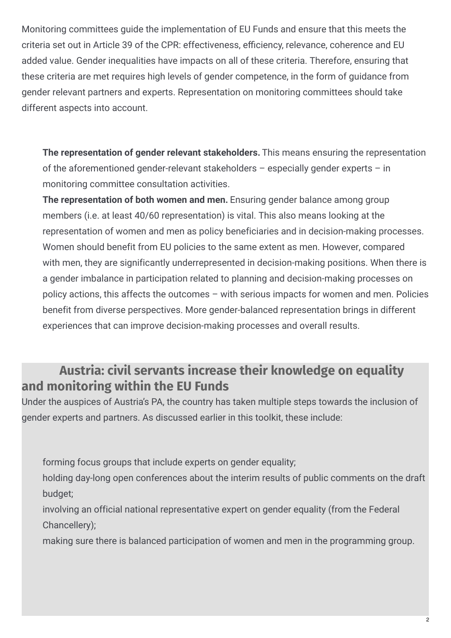Monitoring committees guide the implementation of EU Funds and ensure that this meets the criteria set out in Article 39 of the CPR: effectiveness, efficiency, relevance, coherence and EU added value. Gender inequalities have impacts on all of these criteria. Therefore, ensuring that these criteria are met requires high levels of gender competence, in the form of guidance from gender relevant partners and experts. Representation on monitoring committees should take different aspects into account.

**The representation of gender relevant stakeholders.** This means ensuring the representation of the aforementioned gender-relevant stakeholders – especially gender experts – in monitoring committee consultation activities.

**The representation of both women and men.** Ensuring gender balance among group members (i.e. at least 40/60 representation) is vital. This also means looking at the representation of women and men as policy beneficiaries and in decision-making processes. Women should benefit from EU policies to the same extent as men. However, compared with men, they are significantly underrepresented in decision-making positions. When there is a gender imbalance in participation related to planning and decision-making processes on policy actions, this affects the outcomes – with serious impacts for women and men. Policies benefit from diverse perspectives. More gender-balanced representation brings in different experiences that can improve decision-making processes and overall results.

## **Austria: civil servants increase their knowledge on equality and monitoring within the EU Funds**

Under the auspices of Austria's PA, the country has taken multiple steps towards the inclusion of gender experts and partners. As discussed earlier in this toolkit, these include:

forming focus groups that include experts on gender equality;

holding day-long open conferences about the interim results of public comments on the draft budget;

involving an official national representative expert on gender equality (from the Federal Chancellery);

making sure there is balanced participation of women and men in the programming group.